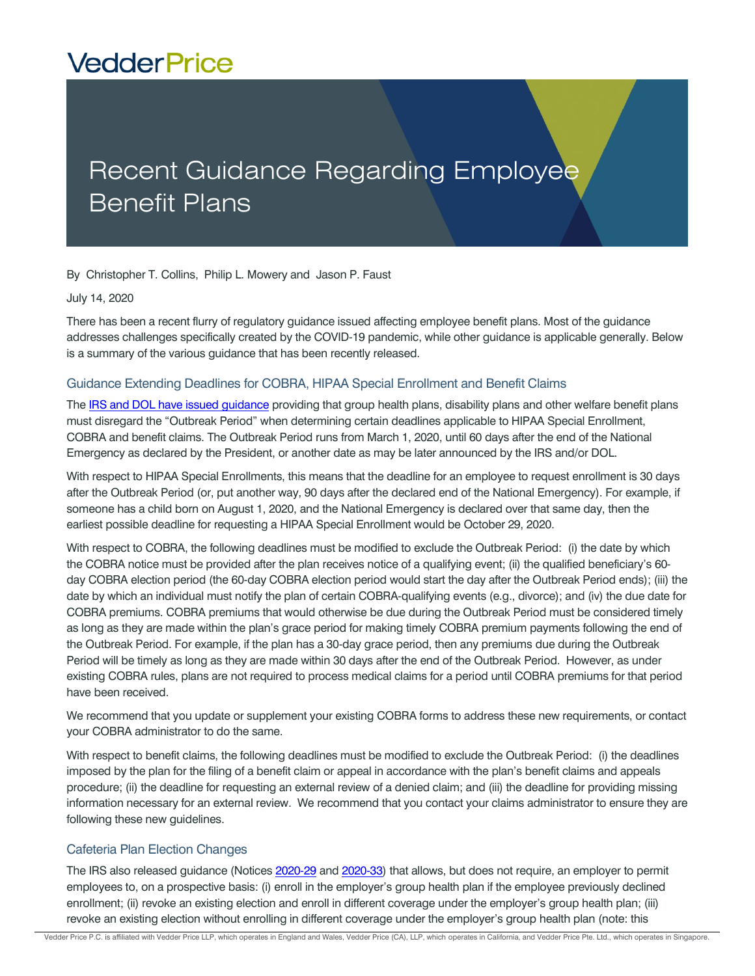# **VedderPrice**

# Recent Guidance Regarding Employee Benefit Plans

By Christopher T. Collins, Philip L. Mowery and Jason P. Faust

#### July 14, 2020

There has been a recent flurry of regulatory guidance issued affecting employee benefit plans. Most of the guidance addresses challenges specifically created by the COVID-19 pandemic, while other guidance is applicable generally. Below is a summary of the various guidance that has been recently released.

### Guidance Extending Deadlines for COBRA, HIPAA Special Enrollment and Benefit Claims

The [IRS and DOL have issued guidance](https://www.federalregister.gov/documents/2020/05/04/2020-09399/extension-of-certain-timeframes-for-employee-benefit-plans-participants-and-beneficiaries-affected#p-1) providing that group health plans, disability plans and other welfare benefit plans must disregard the "Outbreak Period" when determining certain deadlines applicable to HIPAA Special Enrollment, COBRA and benefit claims. The Outbreak Period runs from March 1, 2020, until 60 days after the end of the National Emergency as declared by the President, or another date as may be later announced by the IRS and/or DOL.

With respect to HIPAA Special Enrollments, this means that the deadline for an employee to request enrollment is 30 days after the Outbreak Period (or, put another way, 90 days after the declared end of the National Emergency). For example, if someone has a child born on August 1, 2020, and the National Emergency is declared over that same day, then the earliest possible deadline for requesting a HIPAA Special Enrollment would be October 29, 2020.

With respect to COBRA, the following deadlines must be modified to exclude the Outbreak Period: (i) the date by which the COBRA notice must be provided after the plan receives notice of a qualifying event; (ii) the qualified beneficiary's 60 day COBRA election period (the 60-day COBRA election period would start the day after the Outbreak Period ends); (iii) the date by which an individual must notify the plan of certain COBRA-qualifying events (e.g., divorce); and (iv) the due date for COBRA premiums. COBRA premiums that would otherwise be due during the Outbreak Period must be considered timely as long as they are made within the plan's grace period for making timely COBRA premium payments following the end of the Outbreak Period. For example, if the plan has a 30-day grace period, then any premiums due during the Outbreak Period will be timely as long as they are made within 30 days after the end of the Outbreak Period. However, as under existing COBRA rules, plans are not required to process medical claims for a period until COBRA premiums for that period have been received.

We recommend that you update or supplement your existing COBRA forms to address these new requirements, or contact your COBRA administrator to do the same.

With respect to benefit claims, the following deadlines must be modified to exclude the Outbreak Period: (i) the deadlines imposed by the plan for the filing of a benefit claim or appeal in accordance with the plan's benefit claims and appeals procedure; (ii) the deadline for requesting an external review of a denied claim; and (iii) the deadline for providing missing information necessary for an external review. We recommend that you contact your claims administrator to ensure they are following these new guidelines.

### Cafeteria Plan Election Changes

The IRS also released guidance (Notice[s 2020-29](https://www.federalregister.gov/documents/2020/05/04/2020-09399/extension-of-certain-timeframes-for-employee-benefit-plans-participants-and-beneficiaries-affected#p-1) and [2020-33\)](https://www.irs.gov/pub/irs-drop/n-20-33.pdf) that allows, but does not require, an employer to permit employees to, on a prospective basis: (i) enroll in the employer's group health plan if the employee previously declined enrollment; (ii) revoke an existing election and enroll in different coverage under the employer's group health plan; (iii) revoke an existing election without enrolling in different coverage under the employer's group health plan (note: this